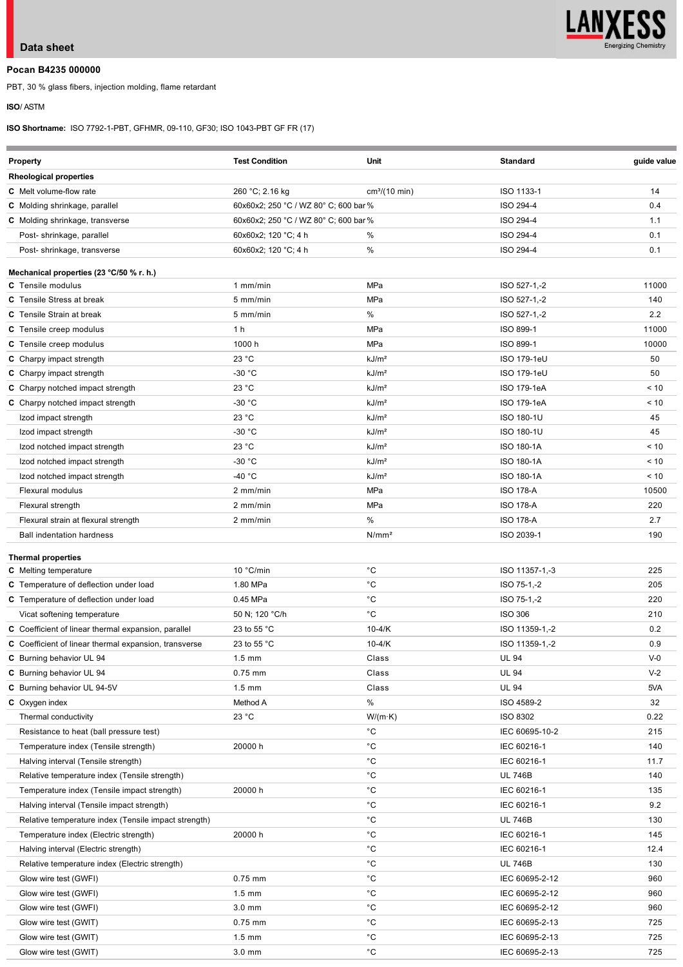

# **Data sheet**

# **Pocan B4235 000000**

PBT, 30 % glass fibers, injection molding, flame retardant

## **ISO**/ ASTM

è

**ISO Shortname:** ISO 7792-1-PBT, GFHMR, 09-110, GF30; ISO 1043-PBT GF FR (17)

| <b>Property</b>                                       | <b>Test Condition</b>                 | Unit                      | <b>Standard</b>    | guide value |
|-------------------------------------------------------|---------------------------------------|---------------------------|--------------------|-------------|
| <b>Rheological properties</b>                         |                                       |                           |                    |             |
| <b>C</b> Melt volume-flow rate                        | 260 °C; 2.16 kg                       | cm <sup>3</sup> /(10 min) | ISO 1133-1         | 14          |
| C Molding shrinkage, parallel                         | 60x60x2; 250 °C / WZ 80° C; 600 bar % |                           | ISO 294-4          | 0.4         |
| C Molding shrinkage, transverse                       | 60x60x2; 250 °C / WZ 80° C; 600 bar % |                           | ISO 294-4          | 1.1         |
| Post- shrinkage, parallel                             | 60x60x2; 120 °C; 4 h                  | %                         | ISO 294-4          | 0.1         |
| Post-shrinkage, transverse                            | 60x60x2; 120 °C; 4 h                  | %                         | ISO 294-4          | 0.1         |
| Mechanical properties (23 °C/50 % r. h.)              |                                       |                           |                    |             |
| <b>C</b> Tensile modulus                              | $1$ mm/min                            | MPa                       | ISO 527-1,-2       | 11000       |
| <b>C</b> Tensile Stress at break                      | 5 mm/min                              | MPa                       | ISO 527-1,-2       | 140         |
| <b>C</b> Tensile Strain at break                      | 5 mm/min                              | $\%$                      | ISO 527-1,-2       | 2.2         |
| C Tensile creep modulus                               | 1 <sub>h</sub>                        | MPa                       | ISO 899-1          | 11000       |
| C Tensile creep modulus                               | 1000 h                                | MPa                       | ISO 899-1          | 10000       |
| <b>C</b> Charpy impact strength                       | 23 °C                                 | kJ/m <sup>2</sup>         | <b>ISO 179-1eU</b> | 50          |
| C Charpy impact strength                              | $-30 °C$                              | kJ/m <sup>2</sup>         | ISO 179-1eU        | 50          |
| C Charpy notched impact strength                      | 23 °C                                 | kJ/m <sup>2</sup>         | ISO 179-1eA        | < 10        |
| C Charpy notched impact strength                      | $-30 °C$                              | kJ/m <sup>2</sup>         | ISO 179-1eA        | < 10        |
| Izod impact strength                                  | 23 °C                                 | kJ/m <sup>2</sup>         | <b>ISO 180-1U</b>  | 45          |
| Izod impact strength                                  | $-30 °C$                              | kJ/m <sup>2</sup>         | <b>ISO 180-1U</b>  | 45          |
| Izod notched impact strength                          | 23 °C                                 | kJ/m <sup>2</sup>         | <b>ISO 180-1A</b>  | < 10        |
| Izod notched impact strength                          | $-30 °C$                              | kJ/m <sup>2</sup>         | <b>ISO 180-1A</b>  | < 10        |
| Izod notched impact strength                          | $-40 °C$                              | kJ/m <sup>2</sup>         | <b>ISO 180-1A</b>  | < 10        |
| Flexural modulus                                      | 2 mm/min                              | MPa                       | <b>ISO 178-A</b>   | 10500       |
| Flexural strength                                     | 2 mm/min                              | MPa                       | <b>ISO 178-A</b>   | 220         |
| Flexural strain at flexural strength                  | 2 mm/min                              | %                         | <b>ISO 178-A</b>   | 2.7         |
| <b>Ball indentation hardness</b>                      |                                       | N/mm <sup>2</sup>         | ISO 2039-1         | 190         |
|                                                       |                                       |                           |                    |             |
| <b>Thermal properties</b>                             |                                       |                           |                    |             |
| <b>C</b> Melting temperature                          | 10 °C/min                             | $^{\circ}$ C              | ISO 11357-1,-3     | 225         |
| C Temperature of deflection under load                | 1.80 MPa                              | $^{\circ}C$               | ISO 75-1,-2        | 205         |
| C Temperature of deflection under load                | 0.45 MPa                              | $^{\circ}$ C              | ISO 75-1,-2        | 220         |
| Vicat softening temperature                           | 50 N; 120 °C/h                        | $^{\circ}$ C              | <b>ISO 306</b>     | 210         |
| C Coefficient of linear thermal expansion, parallel   | 23 to 55 °C                           | $10-4/K$                  | ISO 11359-1,-2     | 0.2         |
| C Coefficient of linear thermal expansion, transverse | 23 to 55 °C                           | $10 - 4/K$                | ISO 11359-1,-2     | 0.9         |
| C Burning behavior UL 94                              | $1.5$ mm                              | Class                     | <b>UL 94</b>       | $V-0$       |
| C Burning behavior UL 94                              | $0.75$ mm                             | Class                     | <b>UL 94</b>       | $V-2$       |
| C Burning behavior UL 94-5V                           | $1.5 \text{ mm}$                      | Class                     | <b>UL 94</b>       | 5VA         |
| C Oxygen index                                        | Method A                              | %                         | ISO 4589-2         | 32          |
| Thermal conductivity                                  | 23 °C                                 | $W/(m \cdot K)$           | <b>ISO 8302</b>    | 0.22        |
| Resistance to heat (ball pressure test)               |                                       | °С                        | IEC 60695-10-2     | 215         |
| Temperature index (Tensile strength)                  | 20000 h                               | $^{\circ}$ C              | IEC 60216-1        | 140         |
| Halving interval (Tensile strength)                   |                                       | °С                        | IEC 60216-1        | 11.7        |
| Relative temperature index (Tensile strength)         |                                       | °С                        | <b>UL 746B</b>     | 140         |
| Temperature index (Tensile impact strength)           | 20000 h                               | °С                        | IEC 60216-1        | 135         |
| Halving interval (Tensile impact strength)            |                                       | $^{\circ}$ C              | IEC 60216-1        | 9.2         |
| Relative temperature index (Tensile impact strength)  |                                       | °С                        | <b>UL 746B</b>     | 130         |
| Temperature index (Electric strength)                 | 20000 h                               | $^{\circ}$ C              | IEC 60216-1        | 145         |
| Halving interval (Electric strength)                  |                                       | °С                        | IEC 60216-1        | 12.4        |
| Relative temperature index (Electric strength)        |                                       | °С                        | <b>UL 746B</b>     | 130         |
| Glow wire test (GWFI)                                 | $0.75$ mm                             | °С                        | IEC 60695-2-12     | 960         |
| Glow wire test (GWFI)                                 | $1.5 \text{ mm}$                      | °С                        | IEC 60695-2-12     | 960         |
| Glow wire test (GWFI)                                 | 3.0 mm                                | $^{\circ}$ C              | IEC 60695-2-12     | 960         |
| Glow wire test (GWIT)                                 | $0.75$ mm                             | $^{\circ}$ C              | IEC 60695-2-13     | 725         |
| Glow wire test (GWIT)                                 | $1.5 \text{ mm}$                      | $^{\circ}$ C              | IEC 60695-2-13     | 725         |
| Glow wire test (GWIT)                                 | $3.0$ mm                              | °С                        | IEC 60695-2-13     | 725         |
|                                                       |                                       |                           |                    |             |